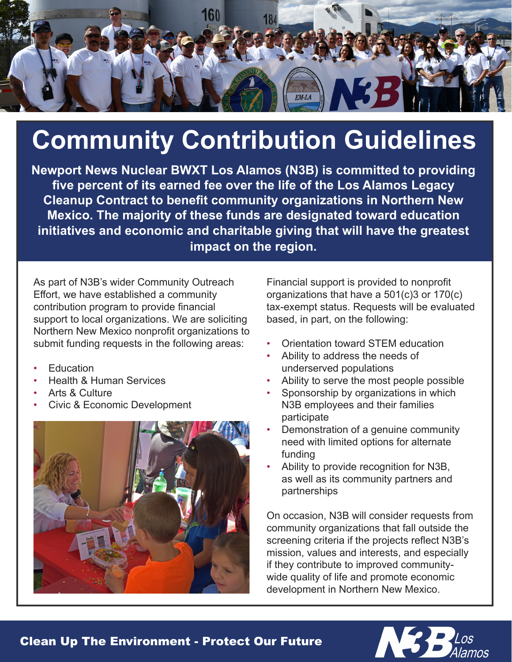

## **Community Contribution Guidelines**

**Newport News Nuclear BWXT Los Alamos (N3B) is committed to providing five percent of its earned fee over the life of the Los Alamos Legacy Cleanup Contract to benefit community organizations in Northern New Mexico. The majority of these funds are designated toward education initiatives and economic and charitable giving that will have the greatest impact on the region.** 

As part of N3B's wider Community Outreach Effort, we have established a community contribution program to provide financial support to local organizations. We are soliciting Northern New Mexico nonprofit organizations to submit funding requests in the following areas:

- **Education**
- Health & Human Services
- Arts & Culture
- Civic & Economic Development



Financial support is provided to nonprofit organizations that have a 501(c)3 or 170(c) tax-exempt status. Requests will be evaluated based, in part, on the following:

- Orientation toward STEM education
- Ability to address the needs of underserved populations
- Ability to serve the most people possible
- Sponsorship by organizations in which N3B employees and their families participate
- Demonstration of a genuine community need with limited options for alternate funding
- Ability to provide recognition for N3B, as well as its community partners and partnerships

On occasion, N3B will consider requests from community organizations that fall outside the screening criteria if the projects reflect N3B's mission, values and interests, and especially if they contribute to improved communitywide quality of life and promote economic development in Northern New Mexico.